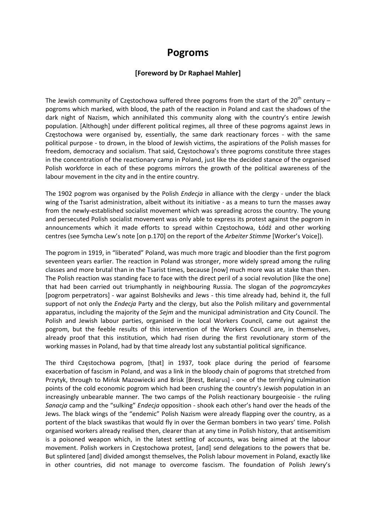## **Pogroms**

## **[Foreword by Dr Raphael Mahler]**

The Jewish community of Czestochowa suffered three pogroms from the start of the  $20<sup>th</sup>$  century – pogroms which marked, with blood, the path of the reaction in Poland and cast the shadows of the dark night of Nazism, which annihilated this community along with the country's entire Jewish population. [Although] under different political regimes, all three of these pogroms against Jews in Częstochowa were organised by, essentially, the same dark reactionary forces ‐ with the same political purpose ‐ to drown, in the blood of Jewish victims, the aspirations of the Polish masses for freedom, democracy and socialism. That said, Częstochowa's three pogroms constitute three stages in the concentration of the reactionary camp in Poland, just like the decided stance of the organised Polish workforce in each of these pogroms mirrors the growth of the political awareness of the labour movement in the city and in the entire country.

The 1902 pogrom was organised by the Polish *Endecja* in alliance with the clergy - under the black wing of the Tsarist administration, albeit without its initiative - as a means to turn the masses away from the newly‐established socialist movement which was spreading across the country. The young and persecuted Polish socialist movement was only able to express its protest against the pogrom in announcements which it made efforts to spread within Częstochowa, Łódź and other working centres (see Symcha Lew's note [on p.170] on the report of the *Arbeiter Stimme* [Worker's Voice]).

The pogrom in 1919, in "liberated" Poland, was much more tragic and bloodier than the first pogrom seventeen years earlier. The reaction in Poland was stronger, more widely spread among the ruling classes and more brutal than in the Tsarist times, because [now] much more was at stake than then. The Polish reaction was standing face to face with the direct peril of a social revolution [like the one] that had been carried out triumphantly in neighbouring Russia. The slogan of the *pogromczykes* [pogrom perpetrators] ‐ war against Bolsheviks and Jews ‐ this time already had, behind it, the full support of not only the *Endecja* Party and the clergy, but also the Polish military and governmental apparatus, including the majority of the *Sejm* and the municipal administration and City Council. The Polish and Jewish labour parties, organised in the local Workers Council, came out against the pogrom, but the feeble results of this intervention of the Workers Council are, in themselves, already proof that this institution, which had risen during the first revolutionary storm of the working masses in Poland, had by that time already lost any substantial political significance.

The third Częstochowa pogrom, [that] in 1937, took place during the period of fearsome exacerbation of fascism in Poland, and was a link in the bloody chain of pogroms that stretched from Przytyk, through to Mińsk Mazowiecki and Brisk [Brest, Belarus] ‐ one of the terrifying culmination points of the cold economic pogrom which had been crushing the country's Jewish population in an increasingly unbearable manner. The two camps of the Polish reactionary bourgeoisie ‐ the ruling *Sanacja* camp and the "sulking" *Endecja* opposition ‐ shook each other's hand over the heads of the Jews. The black wings of the "endemic" Polish Nazism were already flapping over the country, as a portent of the black swastikas that would fly in over the German bombers in two years' time. Polish organised workers already realised then, clearer than at any time in Polish history, that antisemitism is a poisoned weapon which, in the latest settling of accounts, was being aimed at the labour movement. Polish workers in Częstochowa protest, [and] send delegations to the powers that be. But splintered [and] divided amongst themselves, the Polish labour movement in Poland, exactly like in other countries, did not manage to overcome fascism. The foundation of Polish Jewry's